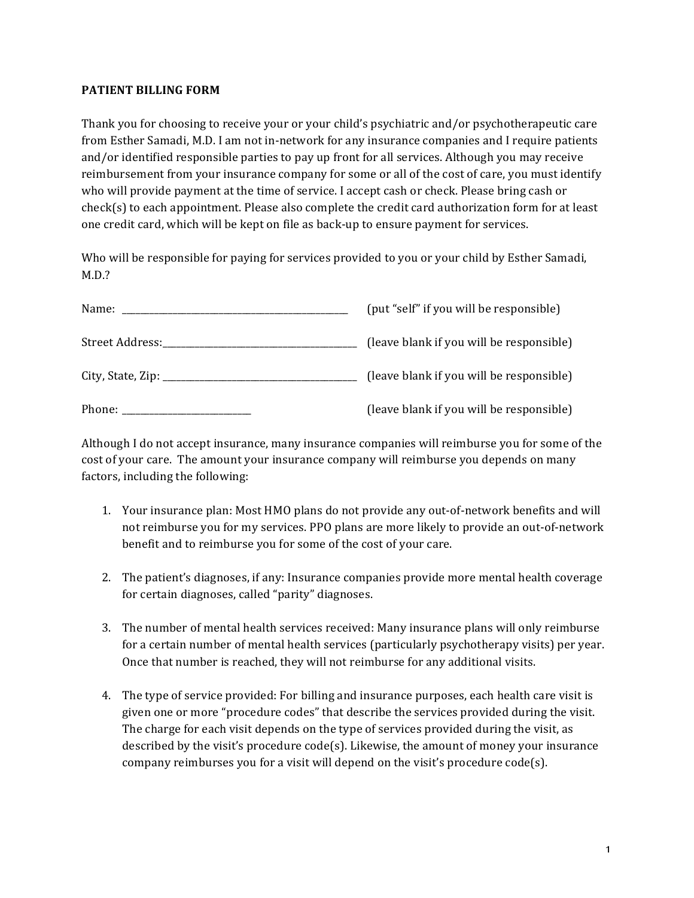## **PATIENT BILLING FORM**

Thank you for choosing to receive your or your child's psychiatric and/or psychotherapeutic care from Esther Samadi, M.D. I am not in-network for any insurance companies and I require patients and/or identified responsible parties to pay up front for all services. Although you may receive reimbursement from your insurance company for some or all of the cost of care, you must identify who will provide payment at the time of service. I accept cash or check. Please bring cash or  $check(s)$  to each appointment. Please also complete the credit card authorization form for at least one credit card, which will be kept on file as back-up to ensure payment for services.

Who will be responsible for paying for services provided to you or your child by Esther Samadi, M.D.?

|        | (put "self" if you will be responsible)  |
|--------|------------------------------------------|
|        | (leave blank if you will be responsible) |
|        | (leave blank if you will be responsible) |
| Phone: | (leave blank if you will be responsible) |

Although I do not accept insurance, many insurance companies will reimburse you for some of the cost of your care. The amount your insurance company will reimburse you depends on many factors, including the following:

- 1. Your insurance plan: Most HMO plans do not provide any out-of-network benefits and will not reimburse you for my services. PPO plans are more likely to provide an out-of-network benefit and to reimburse you for some of the cost of your care.
- 2. The patient's diagnoses, if any: Insurance companies provide more mental health coverage for certain diagnoses, called "parity" diagnoses.
- 3. The number of mental health services received: Many insurance plans will only reimburse for a certain number of mental health services (particularly psychotherapy visits) per year. Once that number is reached, they will not reimburse for any additional visits.
- 4. The type of service provided: For billing and insurance purposes, each health care visit is given one or more "procedure codes" that describe the services provided during the visit. The charge for each visit depends on the type of services provided during the visit, as described by the visit's procedure  $code(s)$ . Likewise, the amount of money your insurance company reimburses you for a visit will depend on the visit's procedure  $code(s)$ .